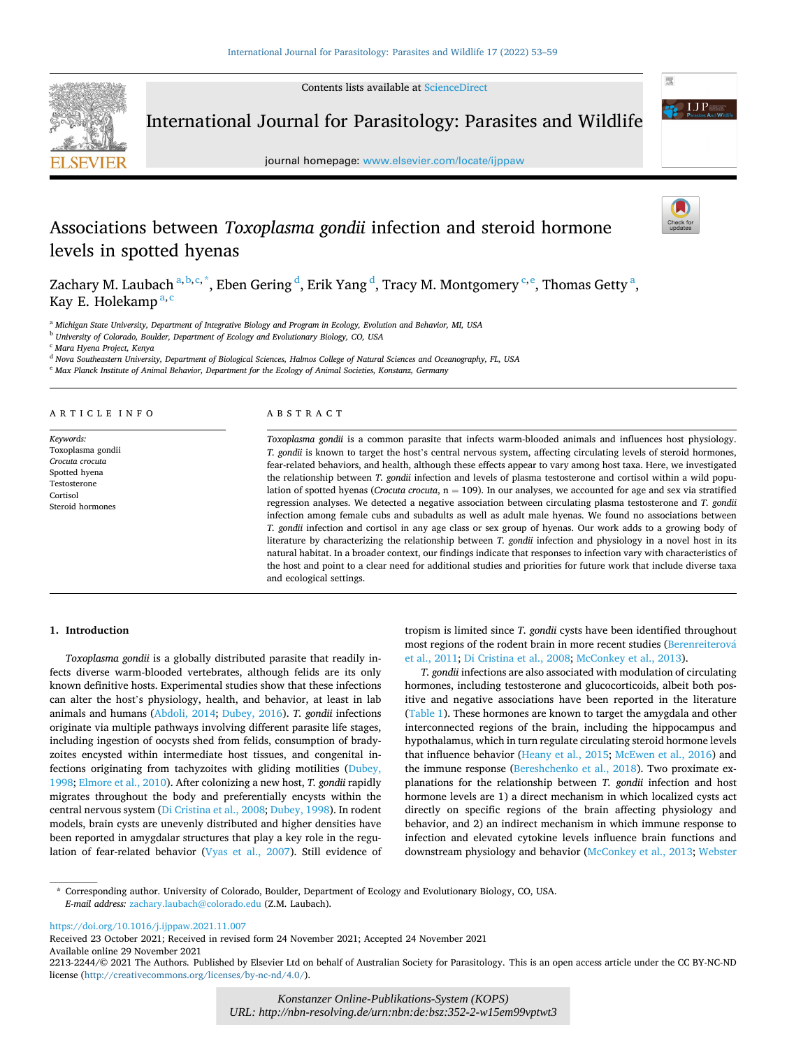Contents lists available at [ScienceDirect](www.sciencedirect.com/science/journal/22132244)



International Journal for Parasitology: Parasites and Wildlife

journal homepage: [www.elsevier.com/locate/ijppaw](https://www.elsevier.com/locate/ijppaw)

# Associations between *Toxoplasma gondii* infection and steroid hormone levels in spotted hyenas

Zachary M. Laubach  $^{a,b,c,\ast},$  Eben Gering  $^d$ , Erik Yang  $^d$ , Tracy M. Montgomery  $^{c,e},$  Thomas Getty  $^a,$ Kay E. Holekamp<sup>a,c</sup>

<sup>a</sup> *Michigan State University, Department of Integrative Biology and Program in Ecology, Evolution and Behavior, MI, USA* 

<sup>b</sup> *University of Colorado, Boulder, Department of Ecology and Evolutionary Biology, CO, USA* 

<sup>c</sup> *Mara Hyena Project, Kenya* 

<sup>d</sup> *Nova Southeastern University, Department of Biological Sciences, Halmos College of Natural Sciences and Oceanography, FL, USA* 

<sup>e</sup> *Max Planck Institute of Animal Behavior, Department for the Ecology of Animal Societies, Konstanz, Germany* 

#### ARTICLE INFO

*Keywords:*  Toxoplasma gondii *Crocuta crocuta*  Spotted hyena Testosterone Cortisol Steroid hormones

## ABSTRACT

*Toxoplasma gondii* is a common parasite that infects warm-blooded animals and influences host physiology. *T. gondii* is known to target the host's central nervous system, affecting circulating levels of steroid hormones, fear-related behaviors, and health, although these effects appear to vary among host taxa. Here, we investigated the relationship between *T. gondii* infection and levels of plasma testosterone and cortisol within a wild population of spotted hyenas (*Crocuta crocuta*, n = 109). In our analyses, we accounted for age and sex via stratified regression analyses. We detected a negative association between circulating plasma testosterone and *T. gondii*  infection among female cubs and subadults as well as adult male hyenas. We found no associations between *T. gondii* infection and cortisol in any age class or sex group of hyenas. Our work adds to a growing body of literature by characterizing the relationship between *T. gondii* infection and physiology in a novel host in its natural habitat. In a broader context, our findings indicate that responses to infection vary with characteristics of the host and point to a clear need for additional studies and priorities for future work that include diverse taxa and ecological settings.

#### **1. Introduction**

*Toxoplasma gondii* is a globally distributed parasite that readily infects diverse warm-blooded vertebrates, although felids are its only known definitive hosts. Experimental studies show that these infections can alter the host's physiology, health, and behavior, at least in lab animals and humans ([Abdoli, 2014](#page-5-0); [Dubey, 2016\)](#page-5-0). *T. gondii* infections originate via multiple pathways involving different parasite life stages, including ingestion of oocysts shed from felids, consumption of bradyzoites encysted within intermediate host tissues, and congenital infections originating from tachyzoites with gliding motilities ([Dubey,](#page-5-0)  [1998; Elmore et al., 2010](#page-5-0)). After colonizing a new host, *T. gondii* rapidly migrates throughout the body and preferentially encysts within the central nervous system [\(Di Cristina et al., 2008; Dubey, 1998](#page-5-0)). In rodent models, brain cysts are unevenly distributed and higher densities have been reported in amygdalar structures that play a key role in the regulation of fear-related behavior ([Vyas et al., 2007\)](#page-6-0). Still evidence of tropism is limited since *T. gondii* cysts have been identified throughout most regions of the rodent brain in more recent studies (Berenreiterová [et al., 2011; Di Cristina et al., 2008;](#page-5-0) [McConkey et al., 2013\)](#page-6-0).

*T. gondii* infections are also associated with modulation of circulating hormones, including testosterone and glucocorticoids, albeit both positive and negative associations have been reported in the literature ([Table 1\)](#page-1-0). These hormones are known to target the amygdala and other interconnected regions of the brain, including the hippocampus and hypothalamus, which in turn regulate circulating steroid hormone levels that influence behavior ([Heany et al., 2015;](#page-6-0) [McEwen et al., 2016](#page-6-0)) and the immune response [\(Bereshchenko et al., 2018\)](#page-5-0). Two proximate explanations for the relationship between *T. gondii* infection and host hormone levels are 1) a direct mechanism in which localized cysts act directly on specific regions of the brain affecting physiology and behavior, and 2) an indirect mechanism in which immune response to infection and elevated cytokine levels influence brain functions and downstream physiology and behavior ([McConkey et al., 2013](#page-6-0); [Webster](#page-6-0) 

\* Corresponding author. University of Colorado, Boulder, Department of Ecology and Evolutionary Biology, CO, USA. *E-mail address:* [zachary.laubach@colorado.edu](mailto:zachary.laubach@colorado.edu) (Z.M. Laubach).

<https://doi.org/10.1016/j.ijppaw.2021.11.007>

Available online 29 November 2021 Received 23 October 2021; Received in revised form 24 November 2021; Accepted 24 November 2021



<sup>2213-2244/© 2021</sup> The Authors. Published by Elsevier Ltd on behalf of Australian Society for Parasitology. This is an open access article under the CC BY-NC-ND license(<http://creativecommons.org/licenses/by-nc-nd/4.0/>).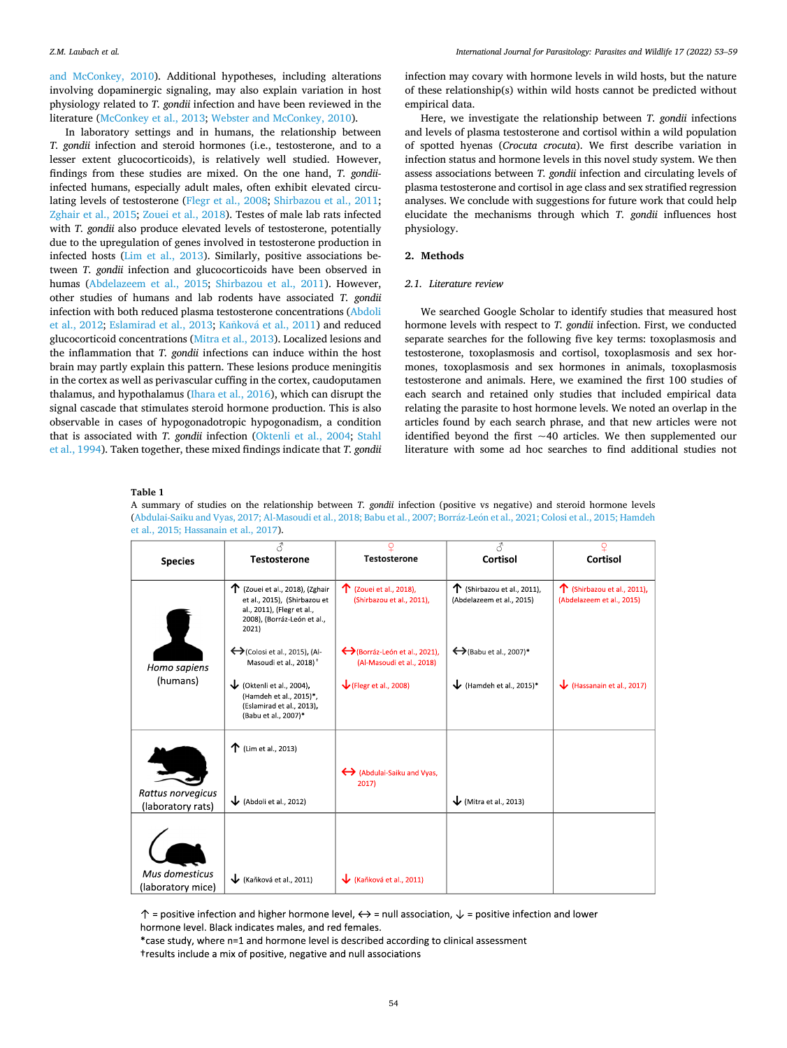<span id="page-1-0"></span>[and McConkey, 2010\)](#page-6-0). Additional hypotheses, including alterations involving dopaminergic signaling, may also explain variation in host physiology related to *T. gondii* infection and have been reviewed in the literature ([McConkey et al., 2013](#page-6-0); [Webster and McConkey, 2010](#page-6-0)).

In laboratory settings and in humans, the relationship between *T. gondii* infection and steroid hormones (i.e., testosterone, and to a lesser extent glucocorticoids), is relatively well studied. However, findings from these studies are mixed. On the one hand, *T. gondii*infected humans, especially adult males, often exhibit elevated circulating levels of testosterone [\(Flegr et al., 2008;](#page-5-0) [Shirbazou et al., 2011](#page-6-0); [Zghair et al., 2015](#page-6-0); [Zouei et al., 2018\)](#page-6-0). Testes of male lab rats infected with *T. gondii* also produce elevated levels of testosterone, potentially due to the upregulation of genes involved in testosterone production in infected hosts [\(Lim et al., 2013](#page-6-0)). Similarly, positive associations between *T. gondii* infection and glucocorticoids have been observed in humas ([Abdelazeem et al., 2015](#page-5-0); [Shirbazou et al., 2011\)](#page-6-0). However, other studies of humans and lab rodents have associated *T. gondii*  infection with both reduced plasma testosterone concentrations [\(Abdoli](#page-5-0)  [et al., 2012](#page-5-0); [Eslamirad et al., 2013](#page-5-0); Kaňková [et al., 2011](#page-6-0)) and reduced glucocorticoid concentrations ([Mitra et al., 2013](#page-6-0)). Localized lesions and the inflammation that *T. gondii* infections can induce within the host brain may partly explain this pattern. These lesions produce meningitis in the cortex as well as perivascular cuffing in the cortex, caudoputamen thalamus, and hypothalamus ([Ihara et al., 2016\)](#page-6-0), which can disrupt the signal cascade that stimulates steroid hormone production. This is also observable in cases of hypogonadotropic hypogonadism, a condition that is associated with *T. gondii* infection ([Oktenli et al., 2004](#page-6-0); [Stahl](#page-6-0)  [et al., 1994\)](#page-6-0). Taken together, these mixed findings indicate that *T. gondii*  infection may covary with hormone levels in wild hosts, but the nature of these relationship(s) within wild hosts cannot be predicted without empirical data.

Here, we investigate the relationship between *T. gondii* infections and levels of plasma testosterone and cortisol within a wild population of spotted hyenas (*Crocuta crocuta*). We first describe variation in infection status and hormone levels in this novel study system. We then assess associations between *T. gondii* infection and circulating levels of plasma testosterone and cortisol in age class and sex stratified regression analyses. We conclude with suggestions for future work that could help elucidate the mechanisms through which *T. gondii* influences host physiology.

## **2. Methods**

#### *2.1. Literature review*

We searched Google Scholar to identify studies that measured host hormone levels with respect to *T. gondii* infection. First, we conducted separate searches for the following five key terms: toxoplasmosis and testosterone, toxoplasmosis and cortisol, toxoplasmosis and sex hormones, toxoplasmosis and sex hormones in animals, toxoplasmosis testosterone and animals. Here, we examined the first 100 studies of each search and retained only studies that included empirical data relating the parasite to host hormone levels. We noted an overlap in the articles found by each search phrase, and that new articles were not identified beyond the first  $~1$ 0 articles. We then supplemented our literature with some ad hoc searches to find additional studies not

#### **Table 1**

A summary of studies on the relationship between *T. gondii* infection (positive vs negative) and steroid hormone levels (Abdulai-Saiku and Vyas, 2017; Al-Masoudi et al., 2018; Babu et al., 2007; Borráz-León et al., 2021; Colosi et al., 2015; Hamdeh [et al., 2015; Hassanain et al., 2017](#page-5-0)).

| <b>Species</b>                         | <b>Testosterone</b>                                                                                                                            | <b>Testosterone</b>                                                        | 8<br>Cortisol                                                     | Cortisol                                                    |
|----------------------------------------|------------------------------------------------------------------------------------------------------------------------------------------------|----------------------------------------------------------------------------|-------------------------------------------------------------------|-------------------------------------------------------------|
|                                        | $\uparrow$ (Zouei et al., 2018), (Zghair<br>et al., 2015), (Shirbazou et<br>al., 2011), (Flegr et al.,<br>2008), (Borráz-León et al.,<br>2021) | 个 (Zouei et al., 2018),<br>(Shirbazou et al., 2011),                       | $\uparrow$ (Shirbazou et al., 2011),<br>(Abdelazeem et al., 2015) | ↑<br>(Shirbazou et al., 2011),<br>(Abdelazeem et al., 2015) |
| Homo sapiens<br>(humans)               | $\leftrightarrow$ (Colosi et al., 2015), (Al-<br>Masoudi et al., 2018) <sup>+</sup>                                                            | $\leftrightarrow$ (Borráz-León et al., 2021),<br>(Al-Masoudi et al., 2018) | $\leftrightarrow$ (Babu et al., 2007)*                            |                                                             |
|                                        | $\bigvee$ (Oktenli et al., 2004),<br>(Hamdeh et al., 2015)*,<br>(Eslamirad et al., 2013),<br>(Babu et al., 2007)*                              | $\sqrt{\text{Flegr}}$ et al., 2008)                                        | Hamdeh et al., 2015)*                                             | (Hassanain et al., 2017)                                    |
|                                        | $\uparrow$ (Lim et al., 2013)                                                                                                                  |                                                                            |                                                                   |                                                             |
|                                        |                                                                                                                                                | ← (Abdulai-Saiku and Vyas,<br>2017)                                        |                                                                   |                                                             |
| Rattus norvegicus<br>(laboratory rats) | $\bigvee$ (Abdoli et al., 2012)                                                                                                                |                                                                            | $\bigvee$ (Mitra et al., 2013)                                    |                                                             |
|                                        |                                                                                                                                                |                                                                            |                                                                   |                                                             |
| Mus domesticus<br>(laboratory mice)    | Kaňková et al., 2011)                                                                                                                          | (Kaňková et al., 2011)                                                     |                                                                   |                                                             |

 $\uparrow$  = positive infection and higher hormone level,  $\leftrightarrow$  = null association,  $\downarrow$  = positive infection and lower hormone level. Black indicates males, and red females.

\*case study, where n=1 and hormone level is described according to clinical assessment tresults include a mix of positive, negative and null associations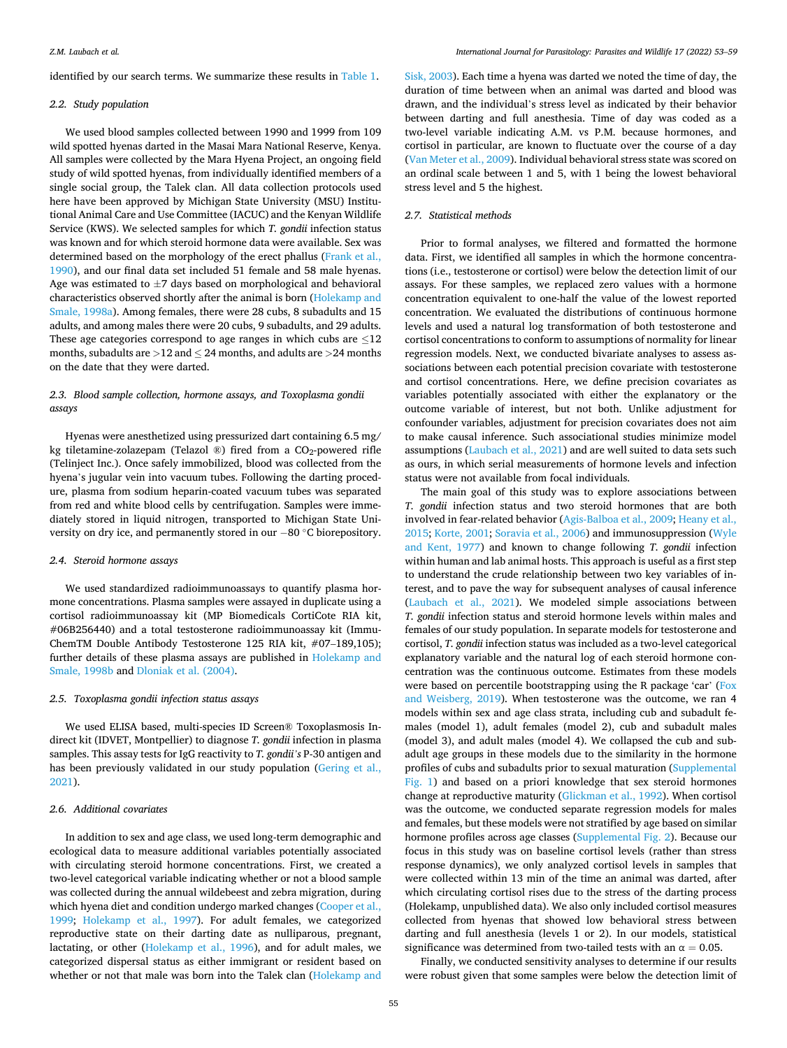identified by our search terms. We summarize these results in [Table 1.](#page-1-0)

## *2.2. Study population*

We used blood samples collected between 1990 and 1999 from 109 wild spotted hyenas darted in the Masai Mara National Reserve, Kenya. All samples were collected by the Mara Hyena Project, an ongoing field study of wild spotted hyenas, from individually identified members of a single social group, the Talek clan. All data collection protocols used here have been approved by Michigan State University (MSU) Institutional Animal Care and Use Committee (IACUC) and the Kenyan Wildlife Service (KWS). We selected samples for which *T. gondii* infection status was known and for which steroid hormone data were available. Sex was determined based on the morphology of the erect phallus [\(Frank et al.,](#page-5-0)  [1990\)](#page-5-0), and our final data set included 51 female and 58 male hyenas. Age was estimated to  $\pm$ 7 days based on morphological and behavioral characteristics observed shortly after the animal is born [\(Holekamp and](#page-6-0)  [Smale, 1998a](#page-6-0)). Among females, there were 28 cubs, 8 subadults and 15 adults, and among males there were 20 cubs, 9 subadults, and 29 adults. These age categories correspond to age ranges in which cubs are  $\leq$ 12 months, subadults are *>*12 and ≤ 24 months, and adults are *>*24 months on the date that they were darted.

# *2.3. Blood sample collection, hormone assays, and Toxoplasma gondii assays*

Hyenas were anesthetized using pressurized dart containing 6.5 mg/ kg tiletamine-zolazepam (Telazol ®) fired from a  $CO_2$ -powered rifle (Telinject Inc.). Once safely immobilized, blood was collected from the hyena's jugular vein into vacuum tubes. Following the darting procedure, plasma from sodium heparin-coated vacuum tubes was separated from red and white blood cells by centrifugation. Samples were immediately stored in liquid nitrogen, transported to Michigan State University on dry ice, and permanently stored in our − 80 ◦C biorepository.

### *2.4. Steroid hormone assays*

We used standardized radioimmunoassays to quantify plasma hormone concentrations. Plasma samples were assayed in duplicate using a cortisol radioimmunoassay kit (MP Biomedicals CortiCote RIA kit, #06B256440) and a total testosterone radioimmunoassay kit (Immu-ChemTM Double Antibody Testosterone 125 RIA kit, #07–189,105); further details of these plasma assays are published in [Holekamp and](#page-6-0)  [Smale, 1998b](#page-6-0) and [Dloniak et al. \(2004\).](#page-5-0)

# *2.5. Toxoplasma gondii infection status assays*

We used ELISA based, multi-species ID Screen® Toxoplasmosis Indirect kit (IDVET, Montpellier) to diagnose *T. gondii* infection in plasma samples. This assay tests for IgG reactivity to *T. gondii's* P-30 antigen and has been previously validated in our study population ([Gering et al.,](#page-5-0)  [2021\)](#page-5-0).

## *2.6. Additional covariates*

In addition to sex and age class, we used long-term demographic and ecological data to measure additional variables potentially associated with circulating steroid hormone concentrations. First, we created a two-level categorical variable indicating whether or not a blood sample was collected during the annual wildebeest and zebra migration, during which hyena diet and condition undergo marked changes (Cooper et al., [1999;](#page-5-0) [Holekamp et al., 1997](#page-6-0)). For adult females, we categorized reproductive state on their darting date as nulliparous, pregnant, lactating, or other [\(Holekamp et al., 1996](#page-6-0)), and for adult males, we categorized dispersal status as either immigrant or resident based on whether or not that male was born into the Talek clan ([Holekamp and](#page-6-0) 

[Sisk, 2003\)](#page-6-0). Each time a hyena was darted we noted the time of day, the duration of time between when an animal was darted and blood was drawn, and the individual's stress level as indicated by their behavior between darting and full anesthesia. Time of day was coded as a two-level variable indicating A.M. vs P.M. because hormones, and cortisol in particular, are known to fluctuate over the course of a day ([Van Meter et al., 2009](#page-6-0)). Individual behavioral stress state was scored on an ordinal scale between 1 and 5, with 1 being the lowest behavioral stress level and 5 the highest.

# *2.7. Statistical methods*

Prior to formal analyses, we filtered and formatted the hormone data. First, we identified all samples in which the hormone concentrations (i.e., testosterone or cortisol) were below the detection limit of our assays. For these samples, we replaced zero values with a hormone concentration equivalent to one-half the value of the lowest reported concentration. We evaluated the distributions of continuous hormone levels and used a natural log transformation of both testosterone and cortisol concentrations to conform to assumptions of normality for linear regression models. Next, we conducted bivariate analyses to assess associations between each potential precision covariate with testosterone and cortisol concentrations. Here, we define precision covariates as variables potentially associated with either the explanatory or the outcome variable of interest, but not both. Unlike adjustment for confounder variables, adjustment for precision covariates does not aim to make causal inference. Such associational studies minimize model assumptions [\(Laubach et al., 2021](#page-6-0)) and are well suited to data sets such as ours, in which serial measurements of hormone levels and infection status were not available from focal individuals.

The main goal of this study was to explore associations between *T. gondii* infection status and two steroid hormones that are both involved in fear-related behavior ([Agis-Balboa et al., 2009;](#page-5-0) [Heany et al.,](#page-6-0)  [2015; Korte, 2001; Soravia et al., 2006](#page-6-0)) and immunosuppression ([Wyle](#page-6-0)  [and Kent, 1977\)](#page-6-0) and known to change following *T. gondii* infection within human and lab animal hosts. This approach is useful as a first step to understand the crude relationship between two key variables of interest, and to pave the way for subsequent analyses of causal inference ([Laubach et al., 2021](#page-6-0)). We modeled simple associations between *T. gondii* infection status and steroid hormone levels within males and females of our study population. In separate models for testosterone and cortisol, *T. gondii* infection status was included as a two-level categorical explanatory variable and the natural log of each steroid hormone concentration was the continuous outcome. Estimates from these models were based on percentile bootstrapping using the R package 'car' ([Fox](#page-5-0)  [and Weisberg, 2019](#page-5-0)). When testosterone was the outcome, we ran 4 models within sex and age class strata, including cub and subadult females (model 1), adult females (model 2), cub and subadult males (model 3), and adult males (model 4). We collapsed the cub and subadult age groups in these models due to the similarity in the hormone profiles of cubs and subadults prior to sexual maturation (Supplemental Fig. 1) and based on a priori knowledge that sex steroid hormones change at reproductive maturity ([Glickman et al., 1992](#page-5-0)). When cortisol was the outcome, we conducted separate regression models for males and females, but these models were not stratified by age based on similar hormone profiles across age classes (Supplemental Fig. 2). Because our focus in this study was on baseline cortisol levels (rather than stress response dynamics), we only analyzed cortisol levels in samples that were collected within 13 min of the time an animal was darted, after which circulating cortisol rises due to the stress of the darting process (Holekamp, unpublished data). We also only included cortisol measures collected from hyenas that showed low behavioral stress between darting and full anesthesia (levels 1 or 2). In our models, statistical significance was determined from two-tailed tests with an  $\alpha = 0.05$ .

Finally, we conducted sensitivity analyses to determine if our results were robust given that some samples were below the detection limit of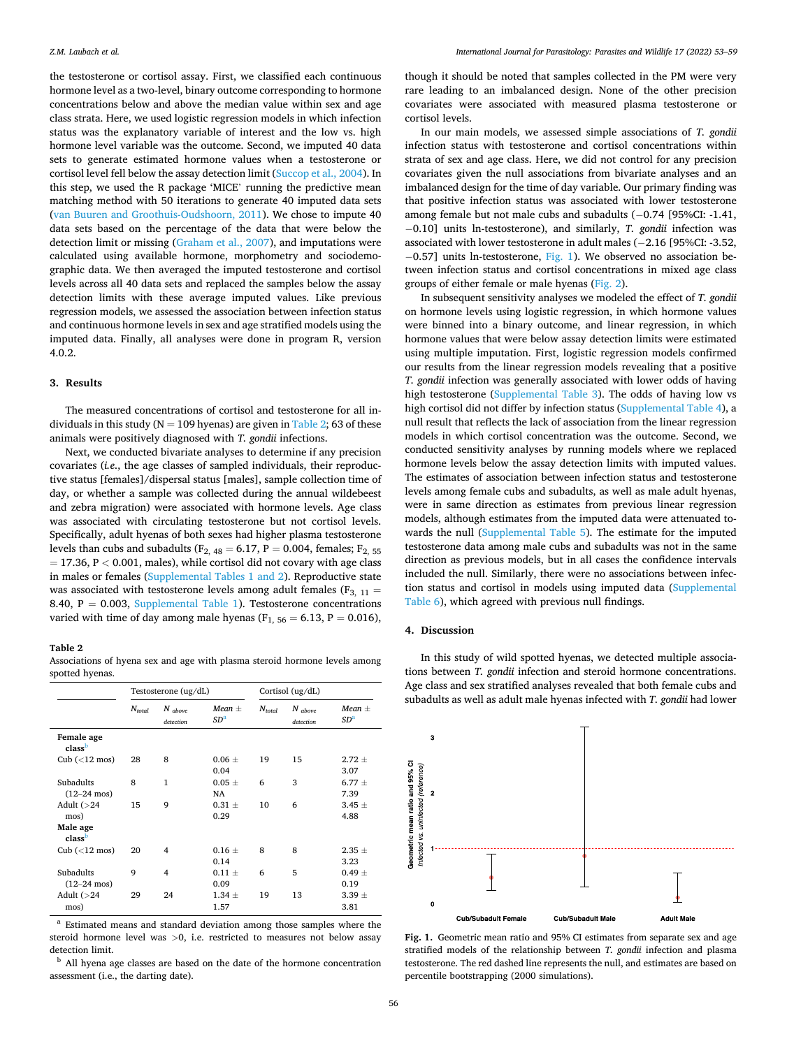the testosterone or cortisol assay. First, we classified each continuous hormone level as a two-level, binary outcome corresponding to hormone concentrations below and above the median value within sex and age class strata. Here, we used logistic regression models in which infection status was the explanatory variable of interest and the low vs. high hormone level variable was the outcome. Second, we imputed 40 data sets to generate estimated hormone values when a testosterone or cortisol level fell below the assay detection limit [\(Succop et al., 2004\)](#page-6-0). In this step, we used the R package 'MICE' running the predictive mean matching method with 50 iterations to generate 40 imputed data sets ([van Buuren and Groothuis-Oudshoorn, 2011\)](#page-6-0). We chose to impute 40 data sets based on the percentage of the data that were below the detection limit or missing [\(Graham et al., 2007](#page-6-0)), and imputations were calculated using available hormone, morphometry and sociodemographic data. We then averaged the imputed testosterone and cortisol levels across all 40 data sets and replaced the samples below the assay detection limits with these average imputed values. Like previous regression models, we assessed the association between infection status and continuous hormone levels in sex and age stratified models using the imputed data. Finally, all analyses were done in program R, version 4.0.2.

#### **3. Results**

The measured concentrations of cortisol and testosterone for all individuals in this study ( $N = 109$  hyenas) are given in Table 2; 63 of these animals were positively diagnosed with *T. gondii* infections.

Next, we conducted bivariate analyses to determine if any precision covariates (*i.e*., the age classes of sampled individuals, their reproductive status [females]/dispersal status [males], sample collection time of day, or whether a sample was collected during the annual wildebeest and zebra migration) were associated with hormone levels. Age class was associated with circulating testosterone but not cortisol levels. Specifically, adult hyenas of both sexes had higher plasma testosterone levels than cubs and subadults ( $F_{2, 48} = 6.17$ ,  $P = 0.004$ , females;  $F_{2, 55}$ = 17.36, P *<* 0.001, males), while cortisol did not covary with age class in males or females (Supplemental Tables 1 and 2). Reproductive state was associated with testosterone levels among adult females ( $F_{3, 11} =$ 8.40,  $P = 0.003$ , Supplemental Table 1). Testosterone concentrations varied with time of day among male hyenas ( $F_{1, 56} = 6.13$ ,  $P = 0.016$ ),

## **Table 2**

Associations of hyena sex and age with plasma steroid hormone levels among spotted hyenas.

|                                             | Testosterone (ug/dL) |                        | Cortisol (ug/dL)              |             |                        |                               |
|---------------------------------------------|----------------------|------------------------|-------------------------------|-------------|------------------------|-------------------------------|
|                                             | $N_{total}$          | $N$ above<br>detection | Mean $\pm$<br>SD <sup>a</sup> | $N_{total}$ | $N$ above<br>detection | Mean $\pm$<br>SD <sup>a</sup> |
| Female age<br>class <sup>b</sup>            |                      |                        |                               |             |                        |                               |
| Cub $(< 12 \text{ mos})$                    | 28                   | 8                      | $0.06 \pm$<br>0.04            | 19          | 15                     | $2.72 \pm$<br>3.07            |
| <b>Subadults</b><br>$(12 - 24 \text{ mos})$ | 8                    | 1                      | $0.05 \pm$<br>NA              | 6           | 3                      | $6.77 \pm$<br>7.39            |
| Adult $(>24)$<br>mos)                       | 15                   | 9                      | $0.31 \pm$<br>0.29            | 10          | 6                      | $3.45 \pm$<br>4.88            |
| Male age<br>class <sup>b</sup>              |                      |                        |                               |             |                        |                               |
| Cub $(< 12$ mos)                            | 20                   | 4                      | $0.16 \pm$<br>0.14            | 8           | 8                      | $2.35 \pm$<br>3.23            |
| Subadults<br>$(12-24 \text{ mos})$          | 9                    | 4                      | $0.11 \pm$<br>0.09            | 6           | 5                      | $0.49 \pm$<br>0.19            |
| Adult $(>24)$<br>mos)                       | 29                   | 24                     | $1.34 \pm$<br>1.57            | 19          | 13                     | $3.39 \pm$<br>3.81            |

<sup>a</sup> Estimated means and standard deviation among those samples where the steroid hormone level was *>*0, i.e. restricted to measures not below assay detection limit. b All hyena age classes are based on the date of the hormone concentration

assessment (i.e., the darting date).

though it should be noted that samples collected in the PM were very rare leading to an imbalanced design. None of the other precision covariates were associated with measured plasma testosterone or cortisol levels.

In our main models, we assessed simple associations of *T. gondii*  infection status with testosterone and cortisol concentrations within strata of sex and age class. Here, we did not control for any precision covariates given the null associations from bivariate analyses and an imbalanced design for the time of day variable. Our primary finding was that positive infection status was associated with lower testosterone among female but not male cubs and subadults (− 0.74 [95%CI: -1.41, − 0.10] units ln-testosterone), and similarly, *T. gondii* infection was associated with lower testosterone in adult males (− 2.16 [95%CI: -3.52,  $-0.57$ ] units ln-testosterone, Fig. 1). We observed no association between infection status and cortisol concentrations in mixed age class groups of either female or male hyenas [\(Fig. 2](#page-4-0)).

In subsequent sensitivity analyses we modeled the effect of *T. gondii*  on hormone levels using logistic regression, in which hormone values were binned into a binary outcome, and linear regression, in which hormone values that were below assay detection limits were estimated using multiple imputation. First, logistic regression models confirmed our results from the linear regression models revealing that a positive *T. gondii* infection was generally associated with lower odds of having high testosterone (Supplemental Table 3). The odds of having low vs high cortisol did not differ by infection status (Supplemental Table 4), a null result that reflects the lack of association from the linear regression models in which cortisol concentration was the outcome. Second, we conducted sensitivity analyses by running models where we replaced hormone levels below the assay detection limits with imputed values. The estimates of association between infection status and testosterone levels among female cubs and subadults, as well as male adult hyenas, were in same direction as estimates from previous linear regression models, although estimates from the imputed data were attenuated towards the null (Supplemental Table 5). The estimate for the imputed testosterone data among male cubs and subadults was not in the same direction as previous models, but in all cases the confidence intervals included the null. Similarly, there were no associations between infection status and cortisol in models using imputed data (Supplemental Table 6), which agreed with previous null findings.

#### **4. Discussion**

In this study of wild spotted hyenas, we detected multiple associations between *T. gondii* infection and steroid hormone concentrations. Age class and sex stratified analyses revealed that both female cubs and subadults as well as adult male hyenas infected with *T. gondii* had lower



**Fig. 1.** Geometric mean ratio and 95% CI estimates from separate sex and age stratified models of the relationship between *T. gondii* infection and plasma testosterone. The red dashed line represents the null, and estimates are based on percentile bootstrapping (2000 simulations).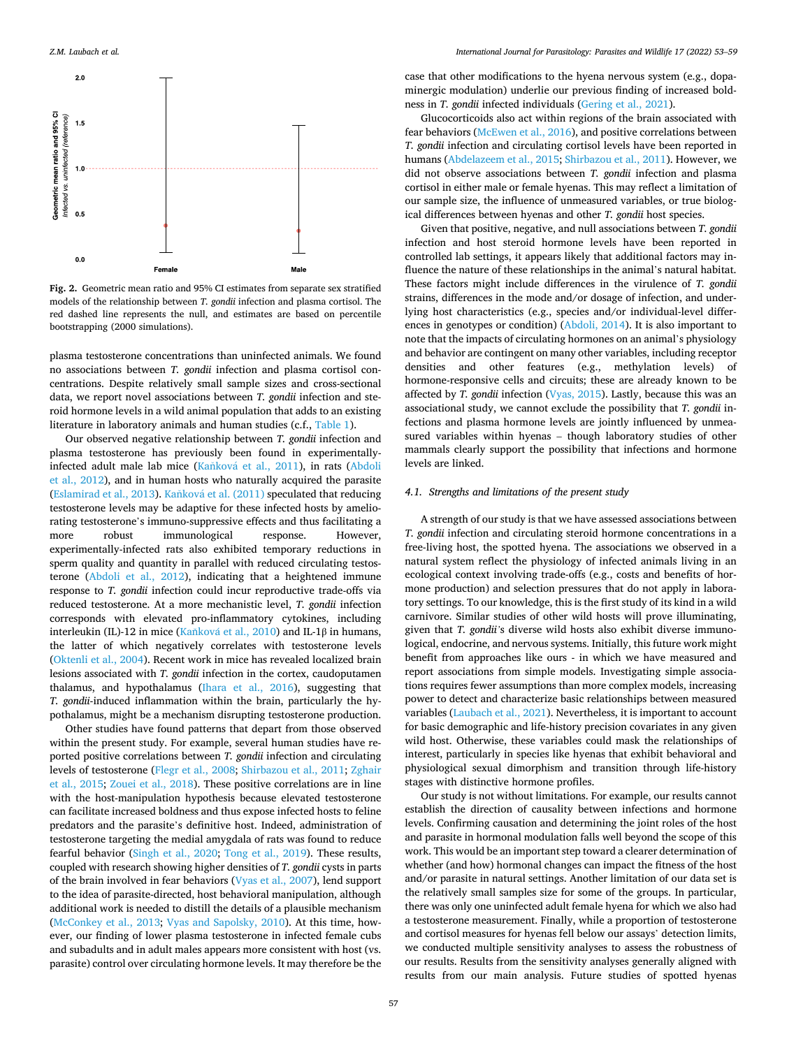<span id="page-4-0"></span>

**Fig. 2.** Geometric mean ratio and 95% CI estimates from separate sex stratified models of the relationship between *T. gondii* infection and plasma cortisol. The red dashed line represents the null, and estimates are based on percentile bootstrapping (2000 simulations).

plasma testosterone concentrations than uninfected animals. We found no associations between *T. gondii* infection and plasma cortisol concentrations. Despite relatively small sample sizes and cross-sectional data, we report novel associations between *T. gondii* infection and steroid hormone levels in a wild animal population that adds to an existing literature in laboratory animals and human studies (c.f., [Table 1\)](#page-1-0).

Our observed negative relationship between *T. gondii* infection and plasma testosterone has previously been found in experimentallyinfected adult male lab mice (Kaňková et al., 2011), in rats (Abdoli [et al., 2012\)](#page-5-0), and in human hosts who naturally acquired the parasite ([Eslamirad et al., 2013](#page-5-0)). Kaňková [et al. \(2011\)](#page-6-0) speculated that reducing testosterone levels may be adaptive for these infected hosts by ameliorating testosterone's immuno-suppressive effects and thus facilitating a more robust immunological response. However, experimentally-infected rats also exhibited temporary reductions in sperm quality and quantity in parallel with reduced circulating testosterone ([Abdoli et al., 2012\)](#page-5-0), indicating that a heightened immune response to *T. gondii* infection could incur reproductive trade-offs via reduced testosterone. At a more mechanistic level, *T. gondii* infection corresponds with elevated pro-inflammatory cytokines, including interleukin (IL)-12 in mice (Kaňková [et al., 2010](#page-6-0)) and IL-1β in humans, the latter of which negatively correlates with testosterone levels ([Oktenli et al., 2004\)](#page-6-0). Recent work in mice has revealed localized brain lesions associated with *T. gondii* infection in the cortex, caudoputamen thalamus, and hypothalamus [\(Ihara et al., 2016](#page-6-0)), suggesting that *T. gondii*-induced inflammation within the brain, particularly the hypothalamus, might be a mechanism disrupting testosterone production.

Other studies have found patterns that depart from those observed within the present study. For example, several human studies have reported positive correlations between *T. gondii* infection and circulating levels of testosterone [\(Flegr et al., 2008](#page-5-0); [Shirbazou et al., 2011](#page-6-0); [Zghair](#page-6-0)  [et al., 2015](#page-6-0); [Zouei et al., 2018](#page-6-0)). These positive correlations are in line with the host-manipulation hypothesis because elevated testosterone can facilitate increased boldness and thus expose infected hosts to feline predators and the parasite's definitive host. Indeed, administration of testosterone targeting the medial amygdala of rats was found to reduce fearful behavior ([Singh et al., 2020;](#page-6-0) [Tong et al., 2019](#page-6-0)). These results, coupled with research showing higher densities of *T. gondii* cysts in parts of the brain involved in fear behaviors [\(Vyas et al., 2007\)](#page-6-0), lend support to the idea of parasite-directed, host behavioral manipulation, although additional work is needed to distill the details of a plausible mechanism ([McConkey et al., 2013](#page-6-0); [Vyas and Sapolsky, 2010\)](#page-6-0). At this time, however, our finding of lower plasma testosterone in infected female cubs and subadults and in adult males appears more consistent with host (vs. parasite) control over circulating hormone levels. It may therefore be the

case that other modifications to the hyena nervous system (e.g., dopaminergic modulation) underlie our previous finding of increased boldness in *T. gondii* infected individuals [\(Gering et al., 2021](#page-5-0)).

Glucocorticoids also act within regions of the brain associated with fear behaviors [\(McEwen et al., 2016\)](#page-6-0), and positive correlations between *T. gondii* infection and circulating cortisol levels have been reported in humans [\(Abdelazeem et al., 2015](#page-5-0); [Shirbazou et al., 2011](#page-6-0)). However, we did not observe associations between *T. gondii* infection and plasma cortisol in either male or female hyenas. This may reflect a limitation of our sample size, the influence of unmeasured variables, or true biological differences between hyenas and other *T. gondii* host species.

Given that positive, negative, and null associations between *T. gondii*  infection and host steroid hormone levels have been reported in controlled lab settings, it appears likely that additional factors may influence the nature of these relationships in the animal's natural habitat. These factors might include differences in the virulence of *T. gondii*  strains, differences in the mode and/or dosage of infection, and underlying host characteristics (e.g., species and/or individual-level differences in genotypes or condition) [\(Abdoli, 2014](#page-5-0)). It is also important to note that the impacts of circulating hormones on an animal's physiology and behavior are contingent on many other variables, including receptor densities and other features (e.g., methylation levels) of hormone-responsive cells and circuits; these are already known to be affected by *T. gondii* infection [\(Vyas, 2015](#page-6-0)). Lastly, because this was an associational study, we cannot exclude the possibility that *T. gondii* infections and plasma hormone levels are jointly influenced by unmeasured variables within hyenas – though laboratory studies of other mammals clearly support the possibility that infections and hormone levels are linked.

## *4.1. Strengths and limitations of the present study*

A strength of our study is that we have assessed associations between *T. gondii* infection and circulating steroid hormone concentrations in a free-living host, the spotted hyena. The associations we observed in a natural system reflect the physiology of infected animals living in an ecological context involving trade-offs (e.g., costs and benefits of hormone production) and selection pressures that do not apply in laboratory settings. To our knowledge, this is the first study of its kind in a wild carnivore. Similar studies of other wild hosts will prove illuminating, given that *T. gondii'*s diverse wild hosts also exhibit diverse immunological, endocrine, and nervous systems. Initially, this future work might benefit from approaches like ours - in which we have measured and report associations from simple models. Investigating simple associations requires fewer assumptions than more complex models, increasing power to detect and characterize basic relationships between measured variables [\(Laubach et al., 2021\)](#page-6-0). Nevertheless, it is important to account for basic demographic and life-history precision covariates in any given wild host. Otherwise, these variables could mask the relationships of interest, particularly in species like hyenas that exhibit behavioral and physiological sexual dimorphism and transition through life-history stages with distinctive hormone profiles.

Our study is not without limitations. For example, our results cannot establish the direction of causality between infections and hormone levels. Confirming causation and determining the joint roles of the host and parasite in hormonal modulation falls well beyond the scope of this work. This would be an important step toward a clearer determination of whether (and how) hormonal changes can impact the fitness of the host and/or parasite in natural settings. Another limitation of our data set is the relatively small samples size for some of the groups. In particular, there was only one uninfected adult female hyena for which we also had a testosterone measurement. Finally, while a proportion of testosterone and cortisol measures for hyenas fell below our assays' detection limits, we conducted multiple sensitivity analyses to assess the robustness of our results. Results from the sensitivity analyses generally aligned with results from our main analysis. Future studies of spotted hyenas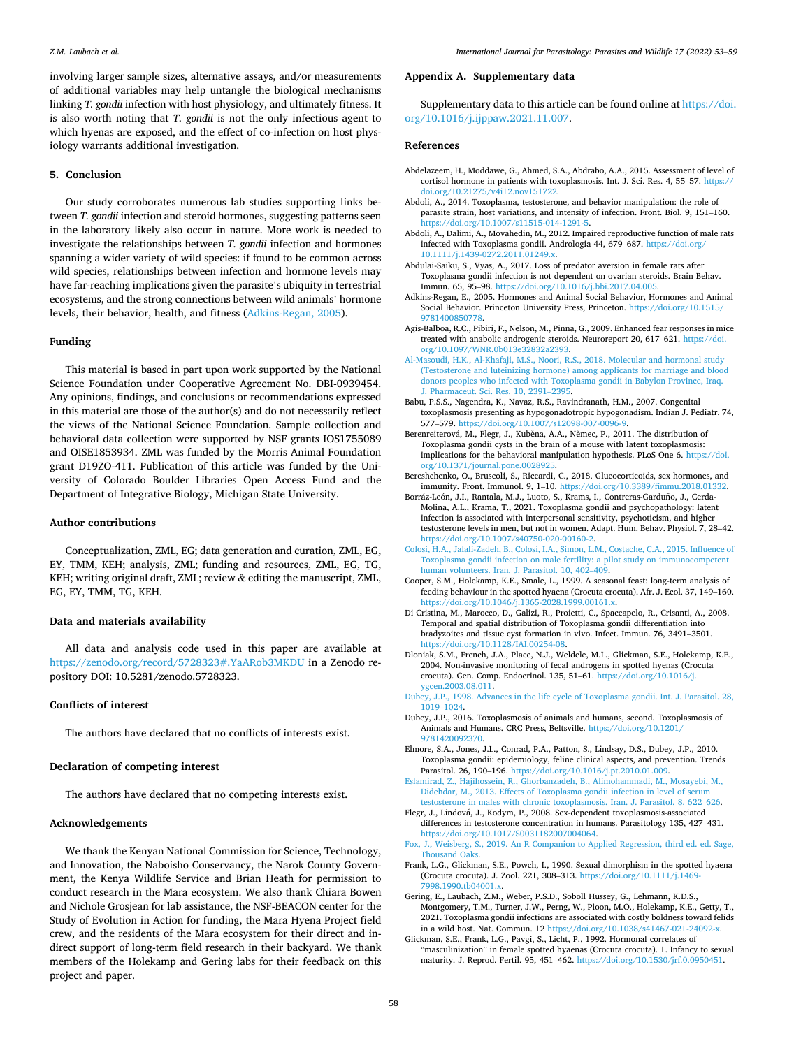<span id="page-5-0"></span>involving larger sample sizes, alternative assays, and/or measurements of additional variables may help untangle the biological mechanisms linking *T. gondii* infection with host physiology, and ultimately fitness. It is also worth noting that *T. gondii* is not the only infectious agent to which hyenas are exposed, and the effect of co-infection on host physiology warrants additional investigation.

### **5. Conclusion**

Our study corroborates numerous lab studies supporting links between *T. gondii* infection and steroid hormones, suggesting patterns seen in the laboratory likely also occur in nature. More work is needed to investigate the relationships between *T. gondii* infection and hormones spanning a wider variety of wild species: if found to be common across wild species, relationships between infection and hormone levels may have far-reaching implications given the parasite's ubiquity in terrestrial ecosystems, and the strong connections between wild animals' hormone levels, their behavior, health, and fitness (Adkins-Regan, 2005).

# **Funding**

This material is based in part upon work supported by the National Science Foundation under Cooperative Agreement No. DBI-0939454. Any opinions, findings, and conclusions or recommendations expressed in this material are those of the author(s) and do not necessarily reflect the views of the National Science Foundation. Sample collection and behavioral data collection were supported by NSF grants IOS1755089 and OISE1853934. ZML was funded by the Morris Animal Foundation grant D19ZO-411. Publication of this article was funded by the University of Colorado Boulder Libraries Open Access Fund and the Department of Integrative Biology, Michigan State University.

## **Author contributions**

Conceptualization, ZML, EG; data generation and curation, ZML, EG, EY, TMM, KEH; analysis, ZML; funding and resources, ZML, EG, TG, KEH; writing original draft, ZML; review & editing the manuscript, ZML, EG, EY, TMM, TG, KEH.

### **Data and materials availability**

All data and analysis code used in this paper are available at <https://zenodo.org/record/5728323#.YaARob3MKDU>in a Zenodo repository DOI: 10.5281/zenodo.5728323.

## **Conflicts of interest**

The authors have declared that no conflicts of interests exist.

# **Declaration of competing interest**

The authors have declared that no competing interests exist.

# **Acknowledgements**

We thank the Kenyan National Commission for Science, Technology, and Innovation, the Naboisho Conservancy, the Narok County Government, the Kenya Wildlife Service and Brian Heath for permission to conduct research in the Mara ecosystem. We also thank Chiara Bowen and Nichole Grosjean for lab assistance, the NSF-BEACON center for the Study of Evolution in Action for funding, the Mara Hyena Project field crew, and the residents of the Mara ecosystem for their direct and indirect support of long-term field research in their backyard. We thank members of the Holekamp and Gering labs for their feedback on this project and paper.

#### **Appendix A. Supplementary data**

Supplementary data to this article can be found online at [https://doi.](https://doi.org/10.1016/j.ijppaw.2021.11.007)  [org/10.1016/j.ijppaw.2021.11.007.](https://doi.org/10.1016/j.ijppaw.2021.11.007)

## **References**

- Abdelazeem, H., Moddawe, G., Ahmed, S.A., Abdrabo, A.A., 2015. Assessment of level of cortisol hormone in patients with toxoplasmosis. Int. J. Sci. Res. 4, 55-57. [https://](https://doi.org/10.21275/v4i12.nov151722) [doi.org/10.21275/v4i12.nov151722.](https://doi.org/10.21275/v4i12.nov151722)
- Abdoli, A., 2014. Toxoplasma, testosterone, and behavior manipulation: the role of parasite strain, host variations, and intensity of infection. Front. Biol. 9, 151–160. [https://doi.org/10.1007/s11515-014-1291-5.](https://doi.org/10.1007/s11515-014-1291-5)
- Abdoli, A., Dalimi, A., Movahedin, M., 2012. Impaired reproductive function of male rats infected with Toxoplasma gondii. Andrologia 44, 679–687. [https://doi.org/](https://doi.org/10.1111/j.1439-0272.2011.01249.x)  [10.1111/j.1439-0272.2011.01249.x](https://doi.org/10.1111/j.1439-0272.2011.01249.x).
- Abdulai-Saiku, S., Vyas, A., 2017. Loss of predator aversion in female rats after Toxoplasma gondii infection is not dependent on ovarian steroids. Brain Behav. Immun. 65, 95–98. https://doi.org/10.1016/j.bbi.2017.04.00
- Adkins-Regan, E., 2005. Hormones and Animal Social Behavior, Hormones and Animal Social Behavior. Princeton University Press, Princeton. [https://doi.org/10.1515/](https://doi.org/10.1515/9781400850778) [9781400850778](https://doi.org/10.1515/9781400850778).
- Agis-Balboa, R.C., Pibiri, F., Nelson, M., Pinna, G., 2009. Enhanced fear responses in mice treated with anabolic androgenic steroids. Neuroreport 20, 617–621. [https://doi.](https://doi.org/10.1097/WNR.0b013e32832a2393) [org/10.1097/WNR.0b013e32832a2393](https://doi.org/10.1097/WNR.0b013e32832a2393).
- [Al-Masoudi, H.K., Al-Khafaji, M.S., Noori, R.S., 2018. Molecular and hormonal study](http://refhub.elsevier.com/S2213-2244(21)00120-6/sref7) [\(Testosterone and luteinizing hormone\) among applicants for marriage and blood](http://refhub.elsevier.com/S2213-2244(21)00120-6/sref7)  [donors peoples who infected with Toxoplasma gondii in Babylon Province, Iraq.](http://refhub.elsevier.com/S2213-2244(21)00120-6/sref7)  [J. Pharmaceut. Sci. Res. 10, 2391](http://refhub.elsevier.com/S2213-2244(21)00120-6/sref7)–2395.
- Babu, P.S.S., Nagendra, K., Navaz, R.S., Ravindranath, H.M., 2007. Congenital toxoplasmosis presenting as hypogonadotropic hypogonadism. Indian J. Pediatr. 74, 577–579. <https://doi.org/10.1007/s12098-007-0096-9>.
- Berenreiterová, M., Flegr, J., Kuběna, A.A., Němec, P., 2011. The distribution of Toxoplasma gondii cysts in the brain of a mouse with latent toxoplasmosis: implications for the behavioral manipulation hypothesis. PLoS One 6. [https://doi.](https://doi.org/10.1371/journal.pone.0028925) [org/10.1371/journal.pone.0028925](https://doi.org/10.1371/journal.pone.0028925).
- Bereshchenko, O., Bruscoli, S., Riccardi, C., 2018. Glucocorticoids, sex hormones, and immunity. Front. Immunol. 9, 1–10. <https://doi.org/10.3389/fimmu.2018.01332>.
- Borráz-León, J.L., Rantala, M.J., Luoto, S., Krams, L., Contreras-Garduño, J., Cerda-Molina, A.L., Krama, T., 2021. Toxoplasma gondii and psychopathology: latent infection is associated with interpersonal sensitivity, psychoticism, and higher testosterone levels in men, but not in women. Adapt. Hum. Behav. Physiol. 7, 28–42. <https://doi.org/10.1007/s40750-020-00160-2>.
- [Colosi, H.A., Jalali-Zadeh, B., Colosi, I.A., Simon, L.M., Costache, C.A., 2015. Influence of](http://refhub.elsevier.com/S2213-2244(21)00120-6/sref12)  [Toxoplasma gondii infection on male fertility: a pilot study on immunocompetent](http://refhub.elsevier.com/S2213-2244(21)00120-6/sref12)  [human volunteers. Iran. J. Parasitol. 10, 402](http://refhub.elsevier.com/S2213-2244(21)00120-6/sref12)–409.
- Cooper, S.M., Holekamp, K.E., Smale, L., 1999. A seasonal feast: long-term analysis of feeding behaviour in the spotted hyaena (Crocuta crocuta). Afr. J. Ecol. 37, 149–160. [https://doi.org/10.1046/j.1365-2028.1999.00161.x.](https://doi.org/10.1046/j.1365-2028.1999.00161.x)
- Di Cristina, M., Marocco, D., Galizi, R., Proietti, C., Spaccapelo, R., Crisanti, A., 2008. Temporal and spatial distribution of Toxoplasma gondii differentiation into bradyzoites and tissue cyst formation in vivo. Infect. Immun. 76, 3491–3501. [https://doi.org/10.1128/IAI.00254-08.](https://doi.org/10.1128/IAI.00254-08)
- Dloniak, S.M., French, J.A., Place, N.J., Weldele, M.L., Glickman, S.E., Holekamp, K.E., 2004. Non-invasive monitoring of fecal androgens in spotted hyenas (Crocuta crocuta). Gen. Comp. Endocrinol. 135, 51–61. [https://doi.org/10.1016/j.](https://doi.org/10.1016/j.ygcen.2003.08.011) [ygcen.2003.08.011.](https://doi.org/10.1016/j.ygcen.2003.08.011)

- Dubey, J.P., 2016. Toxoplasmosis of animals and humans, second. Toxoplasmosis of Animals and Humans. CRC Press, Beltsville. [https://doi.org/10.1201/](https://doi.org/10.1201/9781420092370) [9781420092370](https://doi.org/10.1201/9781420092370).
- Elmore, S.A., Jones, J.L., Conrad, P.A., Patton, S., Lindsay, D.S., Dubey, J.P., 2010. Toxoplasma gondii: epidemiology, feline clinical aspects, and prevention. Trends Parasitol. 26, 190–196. [https://doi.org/10.1016/j.pt.2010.01.009.](https://doi.org/10.1016/j.pt.2010.01.009)
- [Eslamirad, Z., Hajihossein, R., Ghorbanzadeh, B., Alimohammadi, M., Mosayebi, M.,](http://refhub.elsevier.com/S2213-2244(21)00120-6/sref20) [Didehdar, M., 2013. Effects of Toxoplasma gondii infection in level of serum](http://refhub.elsevier.com/S2213-2244(21)00120-6/sref20)  [testosterone in males with chronic toxoplasmosis. Iran. J. Parasitol. 8, 622](http://refhub.elsevier.com/S2213-2244(21)00120-6/sref20)–626.
- Flegr, J., Lindová, J., Kodym, P., 2008. Sex-dependent toxoplasmosis-associated differences in testosterone concentration in humans. Parasitology 135, 427–431. <https://doi.org/10.1017/S0031182007004064>.
- [Fox, J., Weisberg, S., 2019. An R Companion to Applied Regression, third ed. ed. Sage,](http://refhub.elsevier.com/S2213-2244(21)00120-6/sref23)  [Thousand Oaks](http://refhub.elsevier.com/S2213-2244(21)00120-6/sref23).
- Frank, L.G., Glickman, S.E., Powch, I., 1990. Sexual dimorphism in the spotted hyaena (Crocuta crocuta). J. Zool. 221, 308–313. [https://doi.org/10.1111/j.1469-](https://doi.org/10.1111/j.1469-7998.1990.tb04001.x)  998.1990.tb04001
- Gering, E., Laubach, Z.M., Weber, P.S.D., Soboll Hussey, G., Lehmann, K.D.S., Montgomery, T.M., Turner, J.W., Perng, W., Pioon, M.O., Holekamp, K.E., Getty, T., 2021. Toxoplasma gondii infections are associated with costly boldness toward felids in a wild host. Nat. Commun. 12 [https://doi.org/10.1038/s41467-021-24092-x.](https://doi.org/10.1038/s41467-021-24092-x)
- Glickman, S.E., Frank, L.G., Pavgi, S., Licht, P., 1992. Hormonal correlates of "masculinization" in female spotted hyaenas (Crocuta crocuta). 1. Infancy to sexual maturity. J. Reprod. Fertil. 95, 451–462. <https://doi.org/10.1530/jrf.0.0950451>.

[Dubey, J.P., 1998. Advances in the life cycle of Toxoplasma gondii. Int. J. Parasitol. 28,](http://refhub.elsevier.com/S2213-2244(21)00120-6/sref16)  [1019](http://refhub.elsevier.com/S2213-2244(21)00120-6/sref16)–1024.